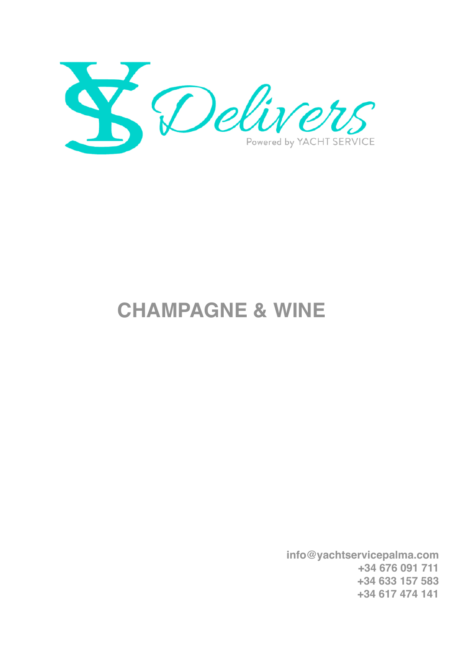

## **CHAMPAGNE & WINE**

 **info@yachtservicepalma.com +34 676 091 711 +34 633 157 583 +34 617 474 141**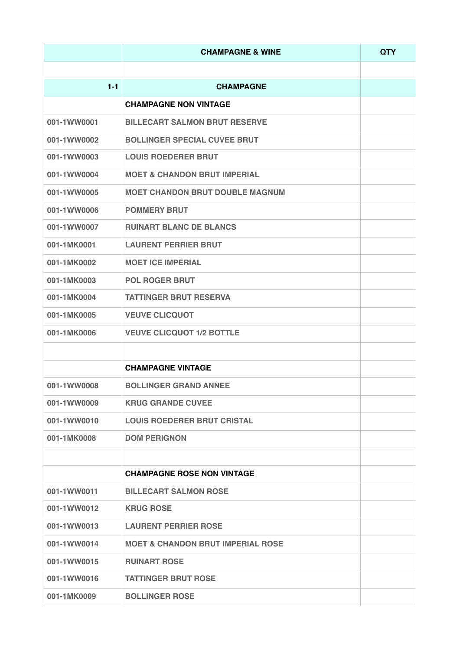|             | <b>CHAMPAGNE &amp; WINE</b>                  | <b>QTY</b> |
|-------------|----------------------------------------------|------------|
|             |                                              |            |
| $1 - 1$     | <b>CHAMPAGNE</b>                             |            |
|             | <b>CHAMPAGNE NON VINTAGE</b>                 |            |
| 001-1WW0001 | <b>BILLECART SALMON BRUT RESERVE</b>         |            |
| 001-1WW0002 | <b>BOLLINGER SPECIAL CUVEE BRUT</b>          |            |
| 001-1WW0003 | <b>LOUIS ROEDERER BRUT</b>                   |            |
| 001-1WW0004 | <b>MOET &amp; CHANDON BRUT IMPERIAL</b>      |            |
| 001-1WW0005 | <b>MOET CHANDON BRUT DOUBLE MAGNUM</b>       |            |
| 001-1WW0006 | <b>POMMERY BRUT</b>                          |            |
| 001-1WW0007 | <b>RUINART BLANC DE BLANCS</b>               |            |
| 001-1MK0001 | <b>LAURENT PERRIER BRUT</b>                  |            |
| 001-1MK0002 | <b>MOET ICE IMPERIAL</b>                     |            |
| 001-1MK0003 | <b>POL ROGER BRUT</b>                        |            |
| 001-1MK0004 | <b>TATTINGER BRUT RESERVA</b>                |            |
| 001-1MK0005 | <b>VEUVE CLICQUOT</b>                        |            |
| 001-1MK0006 | <b>VEUVE CLICQUOT 1/2 BOTTLE</b>             |            |
|             |                                              |            |
|             | <b>CHAMPAGNE VINTAGE</b>                     |            |
| 001-1WW0008 | <b>BOLLINGER GRAND ANNEE</b>                 |            |
| 001-1WW0009 | <b>KRUG GRANDE CUVEE</b>                     |            |
| 001-1WW0010 | <b>LOUIS ROEDERER BRUT CRISTAL</b>           |            |
| 001-1MK0008 | <b>DOM PERIGNON</b>                          |            |
|             |                                              |            |
|             | <b>CHAMPAGNE ROSE NON VINTAGE</b>            |            |
| 001-1WW0011 | <b>BILLECART SALMON ROSE</b>                 |            |
| 001-1WW0012 | <b>KRUG ROSE</b>                             |            |
| 001-1WW0013 | <b>LAURENT PERRIER ROSE</b>                  |            |
| 001-1WW0014 | <b>MOET &amp; CHANDON BRUT IMPERIAL ROSE</b> |            |
| 001-1WW0015 | <b>RUINART ROSE</b>                          |            |
| 001-1WW0016 | <b>TATTINGER BRUT ROSE</b>                   |            |
| 001-1MK0009 | <b>BOLLINGER ROSE</b>                        |            |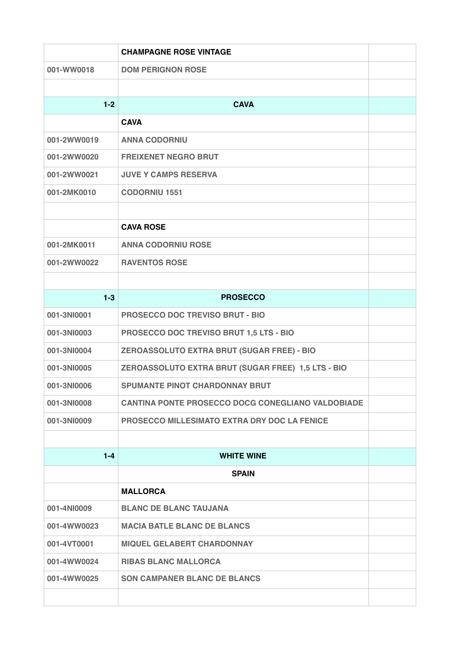|             | <b>CHAMPAGNE ROSE VINTAGE</b>                            |  |
|-------------|----------------------------------------------------------|--|
| 001-WW0018  | <b>DOM PERIGNON ROSE</b>                                 |  |
|             |                                                          |  |
| $1 - 2$     | <b>CAVA</b>                                              |  |
|             | <b>CAVA</b>                                              |  |
| 001-2WW0019 | <b>ANNA CODORNIU</b>                                     |  |
| 001-2WW0020 | <b>FREIXENET NEGRO BRUT</b>                              |  |
| 001-2WW0021 | <b>JUVE Y CAMPS RESERVA</b>                              |  |
| 001-2MK0010 | <b>CODORNIU 1551</b>                                     |  |
|             |                                                          |  |
|             | <b>CAVA ROSE</b>                                         |  |
| 001-2MK0011 | <b>ANNA CODORNIU ROSE</b>                                |  |
| 001-2WW0022 | <b>RAVENTOS ROSE</b>                                     |  |
|             |                                                          |  |
| $1 - 3$     | <b>PROSECCO</b>                                          |  |
| 001-3NI0001 | <b>PROSECCO DOC TREVISO BRUT - BIO</b>                   |  |
| 001-3NI0003 | <b>PROSECCO DOC TREVISO BRUT 1,5 LTS - BIO</b>           |  |
| 001-3NI0004 | ZEROASSOLUTO EXTRA BRUT (SUGAR FREE) - BIO               |  |
| 001-3NI0005 | ZEROASSOLUTO EXTRA BRUT (SUGAR FREE) 1,5 LTS - BIO       |  |
| 001-3NI0006 | <b>SPUMANTE PINOT CHARDONNAY BRUT</b>                    |  |
| 001-3NI0008 | <b>CANTINA PONTE PROSECCO DOCG CONEGLIANO VALDOBIADE</b> |  |
| 001-3NI0009 | <b>PROSECCO MILLESIMATO EXTRA DRY DOC LA FENICE</b>      |  |
|             |                                                          |  |
| $1 - 4$     | <b>WHITE WINE</b>                                        |  |
|             | <b>SPAIN</b>                                             |  |
|             | <b>MALLORCA</b>                                          |  |
| 001-4NI0009 | <b>BLANC DE BLANC TAUJANA</b>                            |  |
| 001-4WW0023 | <b>MACIA BATLE BLANC DE BLANCS</b>                       |  |
| 001-4VT0001 | <b>MIQUEL GELABERT CHARDONNAY</b>                        |  |
| 001-4WW0024 | <b>RIBAS BLANC MALLORCA</b>                              |  |
| 001-4WW0025 | <b>SON CAMPANER BLANC DE BLANCS</b>                      |  |
|             |                                                          |  |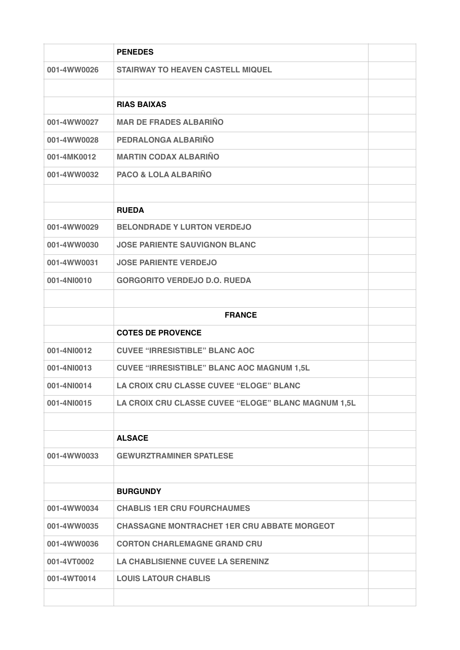|             | <b>PENEDES</b>                                      |  |
|-------------|-----------------------------------------------------|--|
| 001-4WW0026 | <b>STAIRWAY TO HEAVEN CASTELL MIQUEL</b>            |  |
|             |                                                     |  |
|             | <b>RIAS BAIXAS</b>                                  |  |
| 001-4WW0027 | <b>MAR DE FRADES ALBARIÑO</b>                       |  |
| 001-4WW0028 | PEDRALONGA ALBARIÑO                                 |  |
| 001-4MK0012 | <b>MARTIN CODAX ALBARIÑO</b>                        |  |
| 001-4WW0032 | <b>PACO &amp; LOLA ALBARIÑO</b>                     |  |
|             |                                                     |  |
|             | <b>RUEDA</b>                                        |  |
| 001-4WW0029 | <b>BELONDRADE Y LURTON VERDEJO</b>                  |  |
| 001-4WW0030 | <b>JOSE PARIENTE SAUVIGNON BLANC</b>                |  |
| 001-4WW0031 | <b>JOSE PARIENTE VERDEJO</b>                        |  |
| 001-4NI0010 | <b>GORGORITO VERDEJO D.O. RUEDA</b>                 |  |
|             |                                                     |  |
|             | <b>FRANCE</b>                                       |  |
|             |                                                     |  |
|             | <b>COTES DE PROVENCE</b>                            |  |
| 001-4NI0012 | <b>CUVEE "IRRESISTIBLE" BLANC AOC</b>               |  |
| 001-4NI0013 | <b>CUVEE "IRRESISTIBLE" BLANC AOC MAGNUM 1,5L</b>   |  |
| 001-4NI0014 | <b>LA CROIX CRU CLASSE CUVEE "ELOGE" BLANC</b>      |  |
| 001-4NI0015 | LA CROIX CRU CLASSE CUVEE "ELOGE" BLANC MAGNUM 1,5L |  |
|             |                                                     |  |
|             | <b>ALSACE</b>                                       |  |
| 001-4WW0033 | <b>GEWURZTRAMINER SPATLESE</b>                      |  |
|             |                                                     |  |
|             | <b>BURGUNDY</b>                                     |  |
| 001-4WW0034 | <b>CHABLIS 1ER CRU FOURCHAUMES</b>                  |  |
| 001-4WW0035 | <b>CHASSAGNE MONTRACHET 1ER CRU ABBATE MORGEOT</b>  |  |
| 001-4WW0036 | <b>CORTON CHARLEMAGNE GRAND CRU</b>                 |  |
| 001-4VT0002 | <b>LA CHABLISIENNE CUVEE LA SERENINZ</b>            |  |
| 001-4WT0014 | <b>LOUIS LATOUR CHABLIS</b>                         |  |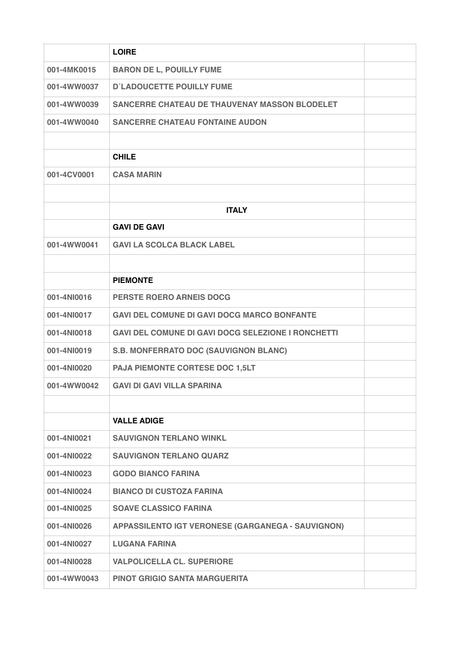|             | <b>LOIRE</b>                                              |  |
|-------------|-----------------------------------------------------------|--|
| 001-4MK0015 | <b>BARON DE L, POUILLY FUME</b>                           |  |
| 001-4WW0037 | <b>D'LADOUCETTE POUILLY FUME</b>                          |  |
| 001-4WW0039 | SANCERRE CHATEAU DE THAUVENAY MASSON BLODELET             |  |
| 001-4WW0040 | <b>SANCERRE CHATEAU FONTAINE AUDON</b>                    |  |
|             |                                                           |  |
|             | <b>CHILE</b>                                              |  |
| 001-4CV0001 | <b>CASA MARIN</b>                                         |  |
|             |                                                           |  |
|             | <b>ITALY</b>                                              |  |
|             | <b>GAVI DE GAVI</b>                                       |  |
| 001-4WW0041 | <b>GAVI LA SCOLCA BLACK LABEL</b>                         |  |
|             |                                                           |  |
|             | <b>PIEMONTE</b>                                           |  |
| 001-4NI0016 | <b>PERSTE ROERO ARNEIS DOCG</b>                           |  |
| 001-4NI0017 | <b>GAVI DEL COMUNE DI GAVI DOCG MARCO BONFANTE</b>        |  |
| 001-4NI0018 | <b>GAVI DEL COMUNE DI GAVI DOCG SELEZIONE I RONCHETTI</b> |  |
| 001-4NI0019 | S.B. MONFERRATO DOC (SAUVIGNON BLANC)                     |  |
| 001-4NI0020 | <b>PAJA PIEMONTE CORTESE DOC 1,5LT</b>                    |  |
| 001-4WW0042 | <b>GAVI DI GAVI VILLA SPARINA</b>                         |  |
|             |                                                           |  |
|             | <b>VALLE ADIGE</b>                                        |  |
| 001-4NI0021 | <b>SAUVIGNON TERLANO WINKL</b>                            |  |
| 001-4NI0022 | <b>SAUVIGNON TERLANO QUARZ</b>                            |  |
| 001-4NI0023 | <b>GODO BIANCO FARINA</b>                                 |  |
| 001-4NI0024 | <b>BIANCO DI CUSTOZA FARINA</b>                           |  |
| 001-4NI0025 | <b>SOAVE CLASSICO FARINA</b>                              |  |
| 001-4NI0026 | APPASSILENTO IGT VERONESE (GARGANEGA - SAUVIGNON)         |  |
| 001-4NI0027 | <b>LUGANA FARINA</b>                                      |  |
| 001-4NI0028 | <b>VALPOLICELLA CL. SUPERIORE</b>                         |  |
| 001-4WW0043 | <b>PINOT GRIGIO SANTA MARGUERITA</b>                      |  |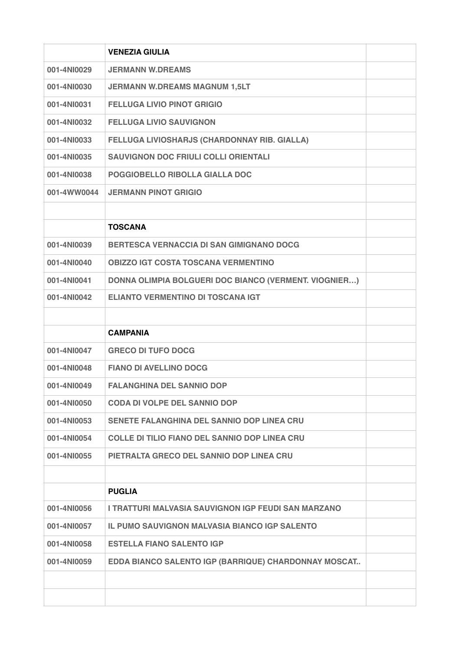|             | <b>VENEZIA GIULIA</b>                                 |  |
|-------------|-------------------------------------------------------|--|
| 001-4NI0029 | <b>JERMANN W.DREAMS</b>                               |  |
| 001-4NI0030 | <b>JERMANN W.DREAMS MAGNUM 1,5LT</b>                  |  |
| 001-4NI0031 | <b>FELLUGA LIVIO PINOT GRIGIO</b>                     |  |
| 001-4NI0032 | <b>FELLUGA LIVIO SAUVIGNON</b>                        |  |
| 001-4NI0033 | FELLUGA LIVIOSHARJS (CHARDONNAY RIB. GIALLA)          |  |
| 001-4NI0035 | <b>SAUVIGNON DOC FRIULI COLLI ORIENTALI</b>           |  |
| 001-4NI0038 | POGGIOBELLO RIBOLLA GIALLA DOC                        |  |
| 001-4WW0044 | <b>JERMANN PINOT GRIGIO</b>                           |  |
|             |                                                       |  |
|             | <b>TOSCANA</b>                                        |  |
| 001-4NI0039 | <b>BERTESCA VERNACCIA DI SAN GIMIGNANO DOCG</b>       |  |
| 001-4NI0040 | <b>OBIZZO IGT COSTA TOSCANA VERMENTINO</b>            |  |
| 001-4NI0041 | DONNA OLIMPIA BOLGUERI DOC BIANCO (VERMENT. VIOGNIER) |  |
| 001-4NI0042 | <b>ELIANTO VERMENTINO DI TOSCANA IGT</b>              |  |
|             |                                                       |  |
|             | <b>CAMPANIA</b>                                       |  |
| 001-4NI0047 | <b>GRECO DI TUFO DOCG</b>                             |  |
| 001-4NI0048 | <b>FIANO DI AVELLINO DOCG</b>                         |  |
| 001-4NI0049 | <b>FALANGHINA DEL SANNIO DOP</b>                      |  |
| 001-4NI0050 | <b>CODA DI VOLPE DEL SANNIO DOP</b>                   |  |
| 001-4NI0053 | SENETE FALANGHINA DEL SANNIO DOP LINEA CRU            |  |
| 001-4NI0054 | <b>COLLE DI TILIO FIANO DEL SANNIO DOP LINEA CRU</b>  |  |
| 001-4NI0055 | PIETRALTA GRECO DEL SANNIO DOP LINEA CRU              |  |
|             |                                                       |  |
|             | <b>PUGLIA</b>                                         |  |
| 001-4NI0056 | I TRATTURI MALVASIA SAUVIGNON IGP FEUDI SAN MARZANO   |  |
| 001-4NI0057 | IL PUMO SAUVIGNON MALVASIA BIANCO IGP SALENTO         |  |
| 001-4NI0058 | <b>ESTELLA FIANO SALENTO IGP</b>                      |  |
| 001-4NI0059 | EDDA BIANCO SALENTO IGP (BARRIQUE) CHARDONNAY MOSCAT  |  |
|             |                                                       |  |
|             |                                                       |  |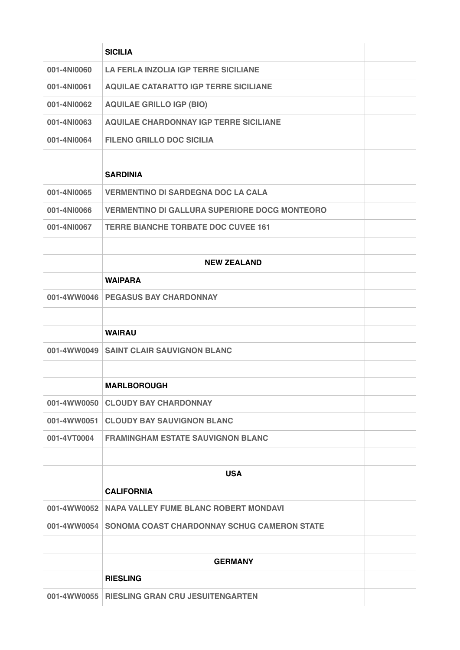|             | <b>SICILIA</b>                                          |  |
|-------------|---------------------------------------------------------|--|
| 001-4NI0060 | <b>LA FERLA INZOLIA IGP TERRE SICILIANE</b>             |  |
| 001-4NI0061 | <b>AQUILAE CATARATTO IGP TERRE SICILIANE</b>            |  |
| 001-4NI0062 | <b>AQUILAE GRILLO IGP (BIO)</b>                         |  |
| 001-4NI0063 | <b>AQUILAE CHARDONNAY IGP TERRE SICILIANE</b>           |  |
| 001-4NI0064 | <b>FILENO GRILLO DOC SICILIA</b>                        |  |
|             | <b>SARDINIA</b>                                         |  |
| 001-4NI0065 | <b>VERMENTINO DI SARDEGNA DOC LA CALA</b>               |  |
| 001-4NI0066 | <b>VERMENTINO DI GALLURA SUPERIORE DOCG MONTEORO</b>    |  |
| 001-4NI0067 | <b>TERRE BIANCHE TORBATE DOC CUVEE 161</b>              |  |
|             |                                                         |  |
|             | <b>NEW ZEALAND</b>                                      |  |
|             | <b>WAIPARA</b>                                          |  |
|             | 001-4WW0046   PEGASUS BAY CHARDONNAY                    |  |
|             |                                                         |  |
|             | <b>WAIRAU</b>                                           |  |
|             | 001-4WW0049 SAINT CLAIR SAUVIGNON BLANC                 |  |
|             |                                                         |  |
|             | <b>MARLBOROUGH</b>                                      |  |
|             | 001-4WW0050 CLOUDY BAY CHARDONNAY                       |  |
| 001-4WW0051 | <b>CLOUDY BAY SAUVIGNON BLANC</b>                       |  |
| 001-4VT0004 | <b>FRAMINGHAM ESTATE SAUVIGNON BLANC</b>                |  |
|             |                                                         |  |
|             | <b>USA</b>                                              |  |
|             | <b>CALIFORNIA</b>                                       |  |
|             | 001-4WW0052 NAPA VALLEY FUME BLANC ROBERT MONDAVI       |  |
|             | 001-4WW0054 SONOMA COAST CHARDONNAY SCHUG CAMERON STATE |  |
|             |                                                         |  |
|             | <b>GERMANY</b>                                          |  |
|             | <b>RIESLING</b>                                         |  |
|             | 001-4WW0055   RIESLING GRAN CRU JESUITENGARTEN          |  |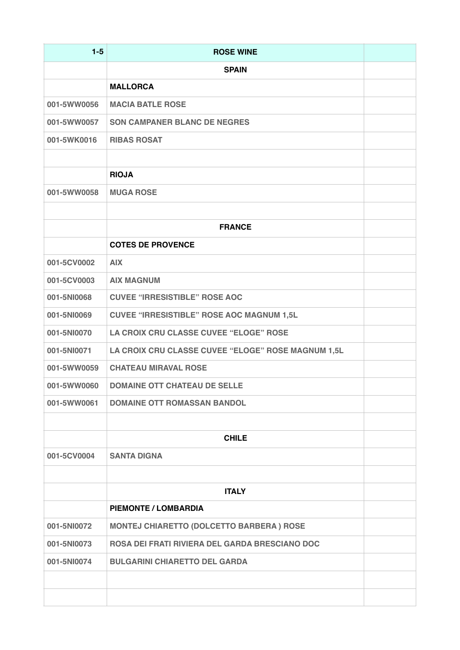| $1-5$       | <b>ROSE WINE</b>                                   |  |
|-------------|----------------------------------------------------|--|
|             | <b>SPAIN</b>                                       |  |
|             | <b>MALLORCA</b>                                    |  |
| 001-5WW0056 | <b>MACIA BATLE ROSE</b>                            |  |
| 001-5WW0057 | <b>SON CAMPANER BLANC DE NEGRES</b>                |  |
| 001-5WK0016 | <b>RIBAS ROSAT</b>                                 |  |
|             |                                                    |  |
|             | <b>RIOJA</b>                                       |  |
| 001-5WW0058 | <b>MUGA ROSE</b>                                   |  |
|             |                                                    |  |
|             | <b>FRANCE</b>                                      |  |
|             | <b>COTES DE PROVENCE</b>                           |  |
| 001-5CV0002 | <b>AIX</b>                                         |  |
| 001-5CV0003 | <b>AIX MAGNUM</b>                                  |  |
| 001-5NI0068 | <b>CUVEE "IRRESISTIBLE" ROSE AOC</b>               |  |
| 001-5NI0069 | <b>CUVEE "IRRESISTIBLE" ROSE AOC MAGNUM 1,5L</b>   |  |
| 001-5NI0070 | <b>LA CROIX CRU CLASSE CUVEE "ELOGE" ROSE</b>      |  |
| 001-5NI0071 | LA CROIX CRU CLASSE CUVEE "ELOGE" ROSE MAGNUM 1,5L |  |
| 001-5WW0059 | <b>CHATEAU MIRAVAL ROSE</b>                        |  |
| 001-5WW0060 | DOMAINE OTT CHATEAU DE SELLE                       |  |
| 001-5WW0061 | <b>DOMAINE OTT ROMASSAN BANDOL</b>                 |  |
|             |                                                    |  |
|             | <b>CHILE</b>                                       |  |
| 001-5CV0004 | <b>SANTA DIGNA</b>                                 |  |
|             |                                                    |  |
|             | <b>ITALY</b>                                       |  |
|             | PIEMONTE / LOMBARDIA                               |  |
| 001-5NI0072 | MONTEJ CHIARETTO (DOLCETTO BARBERA) ROSE           |  |
| 001-5NI0073 | ROSA DEI FRATI RIVIERA DEL GARDA BRESCIANO DOC     |  |
| 001-5NI0074 | <b>BULGARINI CHIARETTO DEL GARDA</b>               |  |
|             |                                                    |  |
|             |                                                    |  |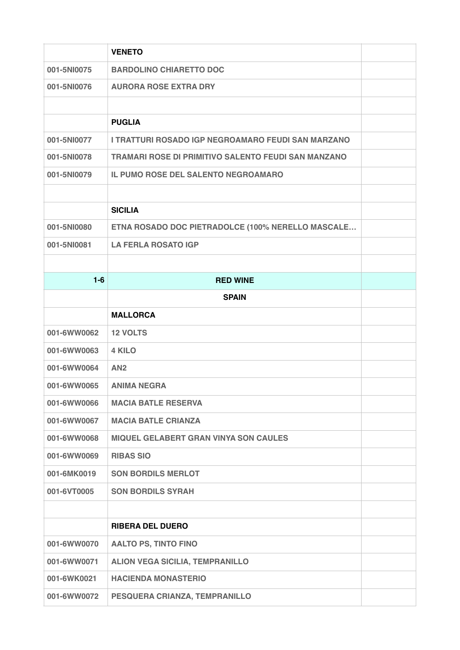|             | <b>VENETO</b>                                              |  |
|-------------|------------------------------------------------------------|--|
| 001-5NI0075 | <b>BARDOLINO CHIARETTO DOC</b>                             |  |
| 001-5NI0076 | <b>AURORA ROSE EXTRA DRY</b>                               |  |
|             |                                                            |  |
|             | <b>PUGLIA</b>                                              |  |
| 001-5NI0077 | I TRATTURI ROSADO IGP NEGROAMARO FEUDI SAN MARZANO         |  |
| 001-5NI0078 | <b>TRAMARI ROSE DI PRIMITIVO SALENTO FEUDI SAN MANZANO</b> |  |
| 001-5NI0079 | <b>IL PUMO ROSE DEL SALENTO NEGROAMARO</b>                 |  |
|             |                                                            |  |
|             | <b>SICILIA</b>                                             |  |
| 001-5NI0080 | ETNA ROSADO DOC PIETRADOLCE (100% NERELLO MASCALE          |  |
| 001-5NI0081 | <b>LA FERLA ROSATO IGP</b>                                 |  |
|             |                                                            |  |
| $1-6$       | <b>RED WINE</b>                                            |  |
|             | <b>SPAIN</b>                                               |  |
|             | <b>MALLORCA</b>                                            |  |
| 001-6WW0062 | <b>12 VOLTS</b>                                            |  |
| 001-6WW0063 | 4 KILO                                                     |  |
| 001-6WW0064 | AN2                                                        |  |
| 001-6WW0065 | <b>ANIMA NEGRA</b>                                         |  |
| 001-6WW0066 | <b>MACIA BATLE RESERVA</b>                                 |  |
| 001-6WW0067 | <b>MACIA BATLE CRIANZA</b>                                 |  |
| 001-6WW0068 | <b>MIQUEL GELABERT GRAN VINYA SON CAULES</b>               |  |
| 001-6WW0069 | <b>RIBAS SIO</b>                                           |  |
| 001-6MK0019 | <b>SON BORDILS MERLOT</b>                                  |  |
| 001-6VT0005 | <b>SON BORDILS SYRAH</b>                                   |  |
|             |                                                            |  |
|             | <b>RIBERA DEL DUERO</b>                                    |  |
| 001-6WW0070 | <b>AALTO PS, TINTO FINO</b>                                |  |
| 001-6WW0071 | <b>ALION VEGA SICILIA, TEMPRANILLO</b>                     |  |
| 001-6WK0021 | <b>HACIENDA MONASTERIO</b>                                 |  |
| 001-6WW0072 | PESQUERA CRIANZA, TEMPRANILLO                              |  |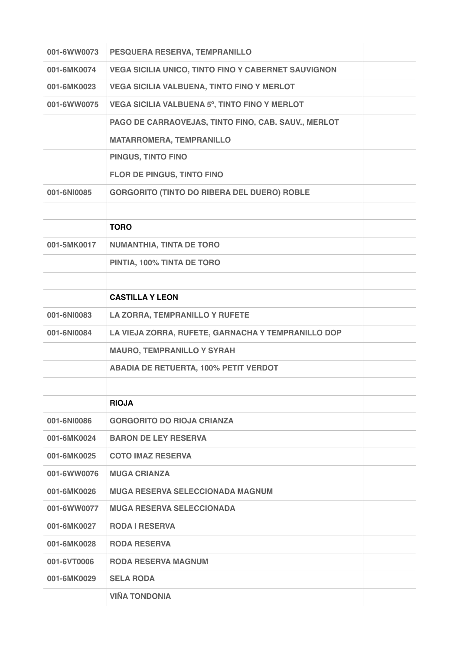| 001-6WW0073 | PESQUERA RESERVA, TEMPRANILLO                        |  |
|-------------|------------------------------------------------------|--|
| 001-6MK0074 | VEGA SICILIA UNICO, TINTO FINO Y CABERNET SAUVIGNON  |  |
| 001-6MK0023 | <b>VEGA SICILIA VALBUENA, TINTO FINO Y MERLOT</b>    |  |
| 001-6WW0075 | <b>VEGA SICILIA VALBUENA 5°, TINTO FINO Y MERLOT</b> |  |
|             | PAGO DE CARRAOVEJAS, TINTO FINO, CAB. SAUV., MERLOT  |  |
|             | <b>MATARROMERA, TEMPRANILLO</b>                      |  |
|             | PINGUS, TINTO FINO                                   |  |
|             | <b>FLOR DE PINGUS, TINTO FINO</b>                    |  |
| 001-6NI0085 | <b>GORGORITO (TINTO DO RIBERA DEL DUERO) ROBLE</b>   |  |
|             |                                                      |  |
|             | <b>TORO</b>                                          |  |
| 001-5MK0017 | <b>NUMANTHIA, TINTA DE TORO</b>                      |  |
|             | PINTIA, 100% TINTA DE TORO                           |  |
|             |                                                      |  |
|             | <b>CASTILLA Y LEON</b>                               |  |
| 001-6NI0083 | LA ZORRA, TEMPRANILLO Y RUFETE                       |  |
| 001-6NI0084 | LA VIEJA ZORRA, RUFETE, GARNACHA Y TEMPRANILLO DOP   |  |
|             | <b>MAURO, TEMPRANILLO Y SYRAH</b>                    |  |
|             | <b>ABADIA DE RETUERTA, 100% PETIT VERDOT</b>         |  |
|             |                                                      |  |
|             | <b>RIOJA</b>                                         |  |
| 001-6NI0086 | <b>GORGORITO DO RIOJA CRIANZA</b>                    |  |
| 001-6MK0024 | <b>BARON DE LEY RESERVA</b>                          |  |
| 001-6MK0025 | <b>COTO IMAZ RESERVA</b>                             |  |
| 001-6WW0076 | <b>MUGA CRIANZA</b>                                  |  |
| 001-6MK0026 | <b>MUGA RESERVA SELECCIONADA MAGNUM</b>              |  |
| 001-6WW0077 | <b>MUGA RESERVA SELECCIONADA</b>                     |  |
| 001-6MK0027 | <b>RODA I RESERVA</b>                                |  |
| 001-6MK0028 | <b>RODA RESERVA</b>                                  |  |
| 001-6VT0006 | <b>RODA RESERVA MAGNUM</b>                           |  |
| 001-6MK0029 | <b>SELA RODA</b>                                     |  |
|             | <b>VIÑA TONDONIA</b>                                 |  |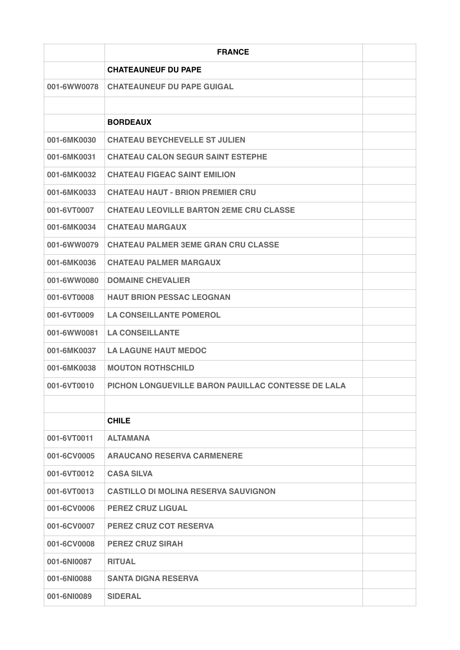|             | <b>FRANCE</b>                                      |
|-------------|----------------------------------------------------|
|             | <b>CHATEAUNEUF DU PAPE</b>                         |
| 001-6WW0078 | <b>CHATEAUNEUF DU PAPE GUIGAL</b>                  |
|             |                                                    |
|             | <b>BORDEAUX</b>                                    |
| 001-6MK0030 | <b>CHATEAU BEYCHEVELLE ST JULIEN</b>               |
| 001-6MK0031 | <b>CHATEAU CALON SEGUR SAINT ESTEPHE</b>           |
| 001-6MK0032 | <b>CHATEAU FIGEAC SAINT EMILION</b>                |
| 001-6MK0033 | <b>CHATEAU HAUT - BRION PREMIER CRU</b>            |
| 001-6VT0007 | <b>CHATEAU LEOVILLE BARTON 2EME CRU CLASSE</b>     |
| 001-6MK0034 | <b>CHATEAU MARGAUX</b>                             |
| 001-6WW0079 | <b>CHATEAU PALMER 3EME GRAN CRU CLASSE</b>         |
| 001-6MK0036 | <b>CHATEAU PALMER MARGAUX</b>                      |
| 001-6WW0080 | <b>DOMAINE CHEVALIER</b>                           |
| 001-6VT0008 | <b>HAUT BRION PESSAC LEOGNAN</b>                   |
| 001-6VT0009 | <b>LA CONSEILLANTE POMEROL</b>                     |
| 001-6WW0081 | <b>LA CONSEILLANTE</b>                             |
| 001-6MK0037 | <b>LA LAGUNE HAUT MEDOC</b>                        |
| 001-6MK0038 | <b>MOUTON ROTHSCHILD</b>                           |
| 001-6VT0010 | PICHON LONGUEVILLE BARON PAUILLAC CONTESSE DE LALA |
|             |                                                    |
|             | <b>CHILE</b>                                       |
| 001-6VT0011 | <b>ALTAMANA</b>                                    |
| 001-6CV0005 | <b>ARAUCANO RESERVA CARMENERE</b>                  |
| 001-6VT0012 | <b>CASA SILVA</b>                                  |
| 001-6VT0013 | <b>CASTILLO DI MOLINA RESERVA SAUVIGNON</b>        |
| 001-6CV0006 | <b>PEREZ CRUZ LIGUAL</b>                           |
| 001-6CV0007 | <b>PEREZ CRUZ COT RESERVA</b>                      |
| 001-6CV0008 | <b>PEREZ CRUZ SIRAH</b>                            |
| 001-6NI0087 | <b>RITUAL</b>                                      |
| 001-6NI0088 | <b>SANTA DIGNA RESERVA</b>                         |
| 001-6NI0089 | <b>SIDERAL</b>                                     |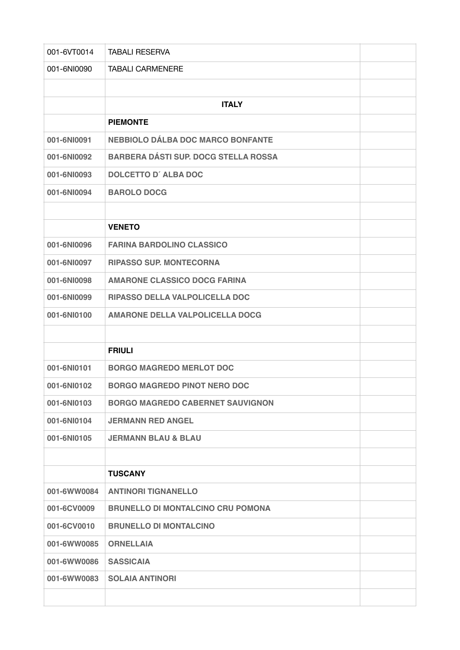| 001-6VT0014 | <b>TABALI RESERVA</b>                       |  |
|-------------|---------------------------------------------|--|
| 001-6NI0090 | <b>TABALI CARMENERE</b>                     |  |
|             |                                             |  |
|             | <b>ITALY</b>                                |  |
|             | <b>PIEMONTE</b>                             |  |
| 001-6NI0091 | <b>NEBBIOLO DÁLBA DOC MARCO BONFANTE</b>    |  |
| 001-6NI0092 | <b>BARBERA DÁSTI SUP. DOCG STELLA ROSSA</b> |  |
| 001-6NI0093 | <b>DOLCETTO D'ALBA DOC</b>                  |  |
| 001-6NI0094 | <b>BAROLO DOCG</b>                          |  |
|             |                                             |  |
|             | <b>VENETO</b>                               |  |
| 001-6NI0096 | <b>FARINA BARDOLINO CLASSICO</b>            |  |
| 001-6NI0097 | <b>RIPASSO SUP. MONTECORNA</b>              |  |
| 001-6NI0098 | <b>AMARONE CLASSICO DOCG FARINA</b>         |  |
| 001-6NI0099 | RIPASSO DELLA VALPOLICELLA DOC              |  |
| 001-6NI0100 | <b>AMARONE DELLA VALPOLICELLA DOCG</b>      |  |
|             |                                             |  |
|             | <b>FRIULI</b>                               |  |
| 001-6NI0101 | <b>BORGO MAGREDO MERLOT DOC</b>             |  |
| 001-6NI0102 | <b>BORGO MAGREDO PINOT NERO DOC</b>         |  |
| 001-6NI0103 | <b>BORGO MAGREDO CABERNET SAUVIGNON</b>     |  |
| 001-6NI0104 | <b>JERMANN RED ANGEL</b>                    |  |
| 001-6NI0105 | <b>JERMANN BLAU &amp; BLAU</b>              |  |
|             |                                             |  |
|             | <b>TUSCANY</b>                              |  |
| 001-6WW0084 | <b>ANTINORI TIGNANELLO</b>                  |  |
| 001-6CV0009 | <b>BRUNELLO DI MONTALCINO CRU POMONA</b>    |  |
| 001-6CV0010 | <b>BRUNELLO DI MONTALCINO</b>               |  |
| 001-6WW0085 | <b>ORNELLAIA</b>                            |  |
| 001-6WW0086 | <b>SASSICAIA</b>                            |  |
| 001-6WW0083 | <b>SOLAIA ANTINORI</b>                      |  |
|             |                                             |  |